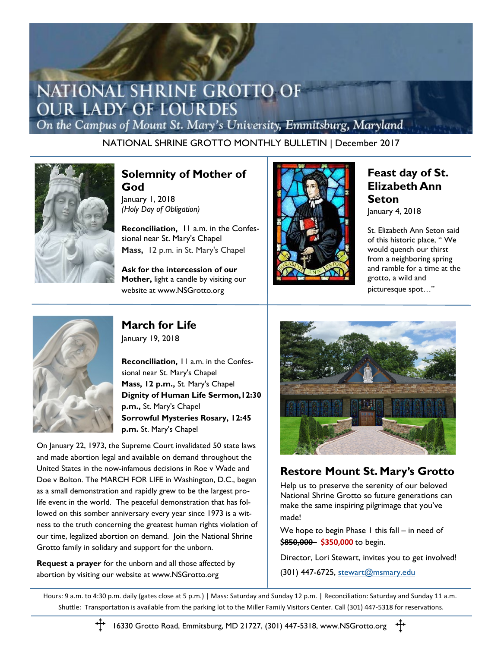# NATIONAL SHRINE GROTTO OF **OUR LADY OF LOURDES**

On the Campus of Mount St. Mary's University, Emmitsburg, Maryland

NATIONAL SHRINE GROTTO MONTHLY BULLETIN | December 2017



#### **Solemnity of Mother of God**

January 1, 2018 *(Holy Day of Obligation)*

**Reconciliation,** 11 a.m. in the Confessional near St. Mary's Chapel **Mass,** 12 p.m. in St. Mary's Chapel

**Ask for the intercession of our Mother,** light a candle by visiting our website at www.NSGrotto.org



#### **Feast day of St. Elizabeth Ann Seton** January 4, 2018

St. Elizabeth Ann Seton said of this historic place, " We would quench our thirst from a neighboring spring and ramble for a time at the grotto, a wild and picturesque spot…"



**March for Life** January 19, 2018

**Reconciliation,** 11 a.m. in the Confessional near St. Mary's Chapel **Mass, 12 p.m.,** St. Mary's Chapel **Dignity of Human Life Sermon,12:30 p.m.,** St. Mary's Chapel **Sorrowful Mysteries Rosary, 12:45 p.m.** St. Mary's Chapel

On January 22, 1973, the Supreme Court invalidated 50 state laws and made abortion legal and available on demand throughout the United States in the now-infamous decisions in Roe v Wade and Doe v Bolton. The MARCH FOR LIFE in Washington, D.C., began as a small demonstration and rapidly grew to be the largest prolife event in the world. The peaceful demonstration that has followed on this somber anniversary every year since 1973 is a witness to the truth concerning the greatest human rights violation of our time, legalized abortion on demand. Join the National Shrine Grotto family in solidary and support for the unborn.

**Request a prayer** for the unborn and all those affected by abortion by visiting our website at www.NSGrotto.org



## **Restore Mount St. Mary's Grotto**

Help us to preserve the serenity of our beloved National Shrine Grotto so future generations can make the same inspiring pilgrimage that you've made!

We hope to begin Phase  $\overline{a}$  this fall – in need of \$850,000 - \$350,000 to begin.

Director, Lori Stewart, invites you to get involved!

(301) 447-6725, [stewart@msmary.edu](mailto:stewart@msmary.edu)

Hours: 9 a.m. to 4:30 p.m. daily (gates close at 5 p.m.) | Mass: Saturday and Sunday 12 p.m. | Reconciliation: Saturday and Sunday 11 a.m. Shuttle: Transportation is available from the parking lot to the Miller Family Visitors Center. Call (301) 447-5318 for reservations.